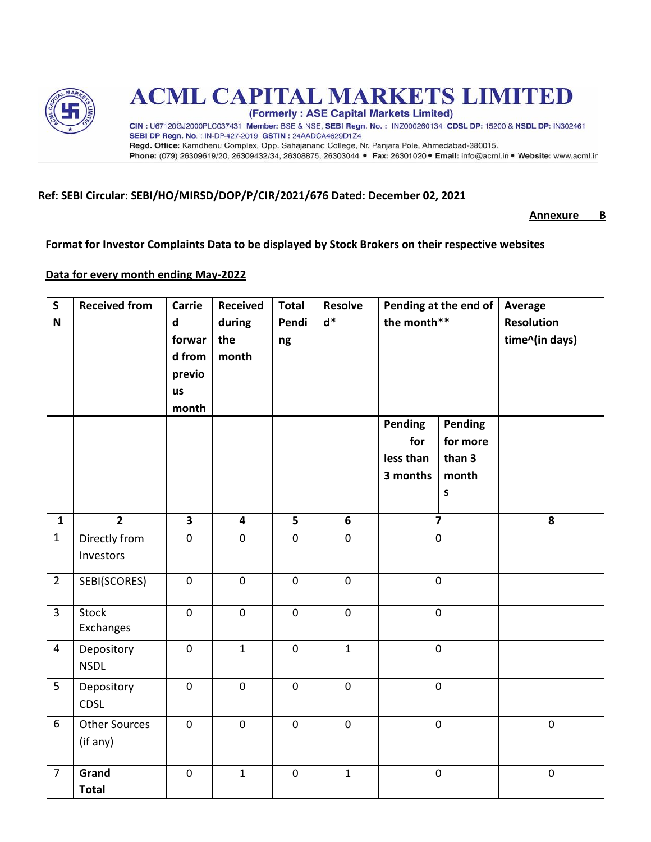

# **ACML CAPITAL MARKETS LIMITED**

(Formerly: ASE Capital Markets Limited)

CIN : U67120GJ2000PLC037431 Member: BSE & NSE, SEBI Regn. No. : INZ000260134 CDSL DP: 15200 & NSDL DP: IN302461 SEBI DP Regn. No.: IN-DP-427-2019 GSTIN: 24AADCA4629D1Z4 Regd. Office: Kamdhenu Complex, Opp. Sahajanand College, Nr. Panjara Pole, Ahmedabad-380015. Phone: (079) 26309619/20, 26309432/34, 26308875, 26303044 · Fax: 26301020 · Email: info@acml.in · Website: www.acml.in

### **Ref: SEBI Circular: SEBI/HO/MIRSD/DOP/P/CIR/2021/676 Dated: December 02, 2021**

**Annexure B**

**Format for Investor Complaints Data to be displayed by Stock Brokers on their respective websites**

#### **Data for every month ending May-2022**

| $\mathsf{S}$<br>$\mathsf N$ | <b>Received from</b>             | <b>Carrie</b><br>$\mathsf{d}$<br>forwar<br>d from<br>previo | <b>Received</b><br>during<br>the<br>month | <b>Total</b><br>Pendi<br>ng | <b>Resolve</b><br>$d^*$ | Pending at the end of<br>the month**    |                                        | Average<br><b>Resolution</b><br>time^(in days) |
|-----------------------------|----------------------------------|-------------------------------------------------------------|-------------------------------------------|-----------------------------|-------------------------|-----------------------------------------|----------------------------------------|------------------------------------------------|
|                             |                                  | us<br>month                                                 |                                           |                             |                         | Pending<br>for<br>less than<br>3 months | Pending<br>for more<br>than 3<br>month |                                                |
| $\mathbf{1}$                | $\overline{2}$                   | $\overline{\mathbf{3}}$                                     | 4                                         | 5                           | $\boldsymbol{6}$        |                                         | $\sf s$<br>$\overline{\mathbf{z}}$     | 8                                              |
| $\mathbf{1}$                | Directly from<br>Investors       | $\mathbf 0$                                                 | $\mathsf{O}\xspace$                       | $\mathbf 0$                 | $\mathbf 0$             | $\pmb{0}$                               |                                        |                                                |
| $\overline{2}$              | SEBI(SCORES)                     | $\pmb{0}$                                                   | $\pmb{0}$                                 | $\mathbf 0$                 | $\pmb{0}$               | $\pmb{0}$                               |                                        |                                                |
| $\overline{3}$              | <b>Stock</b><br>Exchanges        | $\mathbf 0$                                                 | $\mathbf 0$                               | $\mathbf 0$                 | $\mathbf 0$             | $\mathbf 0$                             |                                        |                                                |
| 4                           | Depository<br><b>NSDL</b>        | $\pmb{0}$                                                   | $\mathbf{1}$                              | $\mathbf 0$                 | $\mathbf{1}$            | $\pmb{0}$                               |                                        |                                                |
| 5                           | Depository<br><b>CDSL</b>        | $\mathbf 0$                                                 | $\pmb{0}$                                 | $\mathbf 0$                 | $\pmb{0}$               | $\pmb{0}$                               |                                        |                                                |
| 6                           | <b>Other Sources</b><br>(if any) | $\pmb{0}$                                                   | $\mathsf{O}\xspace$                       | $\mathsf{O}\xspace$         | $\pmb{0}$               | $\pmb{0}$                               |                                        | $\mathsf{O}\xspace$                            |
| $\overline{7}$              | Grand<br><b>Total</b>            | $\mathbf 0$                                                 | $\mathbf{1}$                              | $\mathbf 0$                 | $\mathbf{1}$            |                                         | $\mathbf 0$                            | $\mathbf 0$                                    |